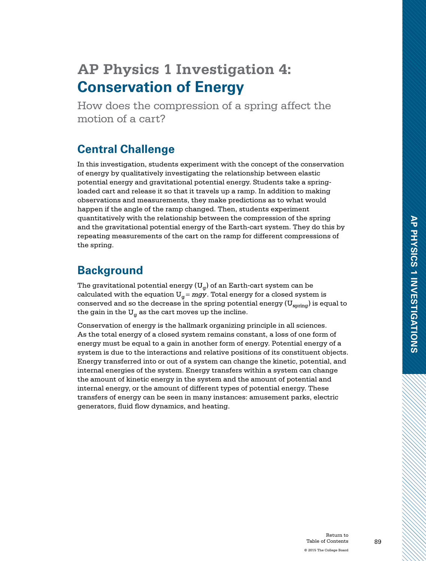# **AP Physics 1 Investigation 4: Conservation of Energy**

How does the compression of a spring affect the motion of a cart?

## **Central Challenge**

In this investigation, students experiment with the concept of the conservation of energy by qualitatively investigating the relationship between elastic potential energy and gravitational potential energy. Students take a springloaded cart and release it so that it travels up a ramp. In addition to making observations and measurements, they make predictions as to what would happen if the angle of the ramp changed. Then, students experiment quantitatively with the relationship between the compression of the spring and the gravitational potential energy of the Earth-cart system. They do this by repeating measurements of the cart on the ramp for different compressions of the spring.

### **Background**

The gravitational potential energy ( $U_{\alpha}$ ) of an Earth-cart system can be calculated with the equation  $U_g = mgy$ . Total energy for a closed system is conserved and so the decrease in the spring potential energy  $({\rm U}_{\rm spring})$  is equal to the gain in the  $U_{\alpha}$  as the cart moves up the incline.

Conservation of energy is the hallmark organizing principle in all sciences. As the total energy of a closed system remains constant, a loss of one form of energy must be equal to a gain in another form of energy. Potential energy of a system is due to the interactions and relative positions of its constituent objects. Energy transferred into or out of a system can change the kinetic, potential, and internal energies of the system. Energy transfers within a system can change the amount of kinetic energy in the system and the amount of potential and internal energy, or the amount of different types of potential energy. These transfers of energy can be seen in many instances: amusement parks, electric generators, fluid flow dynamics, and heating.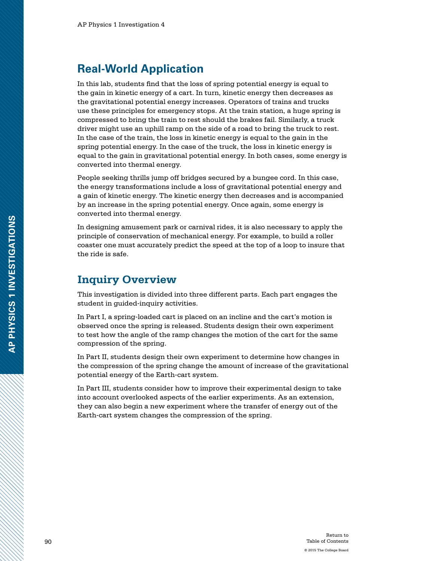### **Real-World Application**

In this lab, students find that the loss of spring potential energy is equal to the gain in kinetic energy of a cart. In turn, kinetic energy then decreases as the gravitational potential energy increases. Operators of trains and trucks use these principles for emergency stops. At the train station, a huge spring is compressed to bring the train to rest should the brakes fail. Similarly, a truck driver might use an uphill ramp on the side of a road to bring the truck to rest. In the case of the train, the loss in kinetic energy is equal to the gain in the spring potential energy. In the case of the truck, the loss in kinetic energy is equal to the gain in gravitational potential energy. In both cases, some energy is converted into thermal energy.

People seeking thrills jump off bridges secured by a bungee cord. In this case, the energy transformations include a loss of gravitational potential energy and a gain of kinetic energy. The kinetic energy then decreases and is accompanied by an increase in the spring potential energy. Once again, some energy is converted into thermal energy.

In designing amusement park or carnival rides, it is also necessary to apply the principle of conservation of mechanical energy. For example, to build a roller coaster one must accurately predict the speed at the top of a loop to insure that the ride is safe.

### **Inquiry Overview**

This investigation is divided into three different parts. Each part engages the student in guided-inquiry activities.

In Part I, a spring-loaded cart is placed on an incline and the cart's motion is observed once the spring is released. Students design their own experiment to test how the angle of the ramp changes the motion of the cart for the same compression of the spring.

In Part II, students design their own experiment to determine how changes in the compression of the spring change the amount of increase of the gravitational potential energy of the Earth-cart system.

In Part III, students consider how to improve their experimental design to take into account overlooked aspects of the earlier experiments. As an extension, they can also begin a new experiment where the transfer of energy out of the Earth-cart system changes the compression of the spring.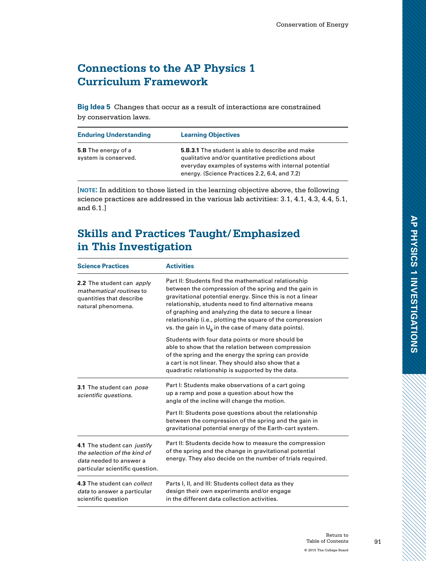### **Connections to the AP Physics 1 Curriculum Framework**

**Big Idea 5** Changes that occur as a result of interactions are constrained by conservation laws.

| <b>Enduring Understanding</b>                      | <b>Learning Objectives</b>                                                                                                                                                                                            |
|----------------------------------------------------|-----------------------------------------------------------------------------------------------------------------------------------------------------------------------------------------------------------------------|
| <b>5.B</b> The energy of a<br>system is conserved. | <b>5.B.3.1</b> The student is able to describe and make<br>qualitative and/or quantitative predictions about<br>everyday examples of systems with internal potential<br>energy. (Science Practices 2.2, 6.4, and 7.2) |

[**note:** In addition to those listed in the learning objective above, the following science practices are addressed in the various lab activities: 3.1, 4.1, 4.3, 4.4, 5.1, and 6.1.]

### **Skills and Practices Taught/Emphasized in This Investigation**

| <b>Science Practices</b>                                                                                                  | <b>Activities</b>                                                                                                                                                                                                                                                                                                                                                                                                      |
|---------------------------------------------------------------------------------------------------------------------------|------------------------------------------------------------------------------------------------------------------------------------------------------------------------------------------------------------------------------------------------------------------------------------------------------------------------------------------------------------------------------------------------------------------------|
| 2.2 The student can apply<br>mathematical routines to<br>quantities that describe<br>natural phenomena.                   | Part II: Students find the mathematical relationship<br>between the compression of the spring and the gain in<br>gravitational potential energy. Since this is not a linear<br>relationship, students need to find alternative means<br>of graphing and analyzing the data to secure a linear<br>relationship (i.e., plotting the square of the compression<br>vs. the gain in $U_q$ in the case of many data points). |
|                                                                                                                           | Students with four data points or more should be<br>able to show that the relation between compression<br>of the spring and the energy the spring can provide<br>a cart is not linear. They should also show that a<br>quadratic relationship is supported by the data.                                                                                                                                                |
| 3.1 The student can pose<br>scientific questions.                                                                         | Part I: Students make observations of a cart going<br>up a ramp and pose a question about how the<br>angle of the incline will change the motion.                                                                                                                                                                                                                                                                      |
|                                                                                                                           | Part II: Students pose questions about the relationship<br>between the compression of the spring and the gain in<br>gravitational potential energy of the Earth-cart system.                                                                                                                                                                                                                                           |
| 4.1 The student can justify<br>the selection of the kind of<br>data needed to answer a<br>particular scientific question. | Part II: Students decide how to measure the compression<br>of the spring and the change in gravitational potential<br>energy. They also decide on the number of trials required.                                                                                                                                                                                                                                       |
| 4.3 The student can collect<br>data to answer a particular<br>scientific question                                         | Parts I, II, and III: Students collect data as they<br>design their own experiments and/or engage<br>in the different data collection activities.                                                                                                                                                                                                                                                                      |

**AP PHYSICS 1 INVESTIGATIONS**

AP PHYSICS 1 INVESTIGATIONS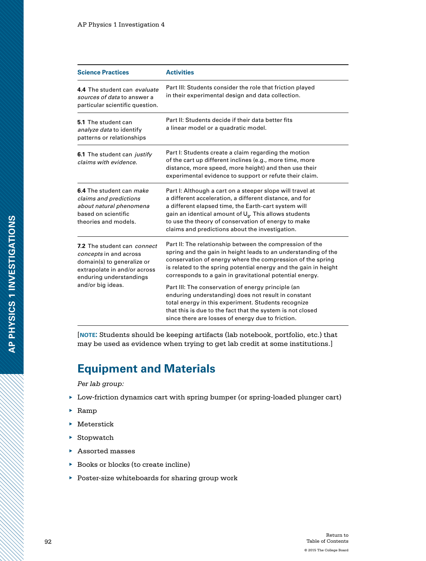| <b>Science Practices</b>                                                                                                                                            | <b>Activities</b>                                                                                                                                                                                                                                                                                                                                  |
|---------------------------------------------------------------------------------------------------------------------------------------------------------------------|----------------------------------------------------------------------------------------------------------------------------------------------------------------------------------------------------------------------------------------------------------------------------------------------------------------------------------------------------|
| 4.4 The student can evaluate<br>sources of data to answer a<br>particular scientific question.                                                                      | Part III: Students consider the role that friction played<br>in their experimental design and data collection.                                                                                                                                                                                                                                     |
| 5.1 The student can<br>analyze data to identify<br>patterns or relationships                                                                                        | Part II: Students decide if their data better fits<br>a linear model or a quadratic model.                                                                                                                                                                                                                                                         |
| 6.1 The student can justify<br>claims with evidence.                                                                                                                | Part I: Students create a claim regarding the motion<br>of the cart up different inclines (e.g., more time, more<br>distance, more speed, more height) and then use their<br>experimental evidence to support or refute their claim.                                                                                                               |
| 6.4 The student can <i>make</i><br>claims and predictions<br>about natural phenomena<br>based on scientific<br>theories and models.                                 | Part I: Although a cart on a steeper slope will travel at<br>a different acceleration, a different distance, and for<br>a different elapsed time, the Earth-cart system will<br>gain an identical amount of $U_q$ . This allows students<br>to use the theory of conservation of energy to make<br>claims and predictions about the investigation. |
| 7.2 The student can connect<br>concepts in and across<br>domain(s) to generalize or<br>extrapolate in and/or across<br>enduring understandings<br>and/or big ideas. | Part II: The relationship between the compression of the<br>spring and the gain in height leads to an understanding of the<br>conservation of energy where the compression of the spring<br>is related to the spring potential energy and the gain in height<br>corresponds to a gain in gravitational potential energy.                           |
|                                                                                                                                                                     | Part III: The conservation of energy principle (an<br>enduring understanding) does not result in constant<br>total energy in this experiment. Students recognize<br>that this is due to the fact that the system is not closed<br>since there are losses of energy due to friction.                                                                |

[**note:** Students should be keeping artifacts (lab notebook, portfolio, etc.) that may be used as evidence when trying to get lab credit at some institutions.]

## **Equipment and Materials**

*Per lab group:*

- ▶ Low-friction dynamics cart with spring bumper (or spring-loaded plunger cart)
- $\blacktriangleright$  Ramp
- ▶ Meterstick
- ▶ Stopwatch
- ▶ Assorted masses
- ▶ Books or blocks (to create incline)
- ▶ Poster-size whiteboards for sharing group work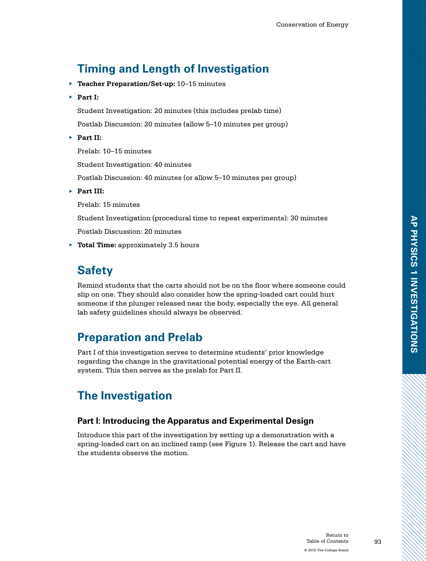# **Timing and Length of Investigation**

- ▶ **Teacher Preparation/Set-up:** 10–15 minutes
- ▶ **Part I:**

Student Investigation: 20 minutes (this includes prelab time)

Postlab Discussion: 20 minutes (allow 5–10 minutes per group)

▶ **Part II:**

Prelab: 10–15 minutes

Student Investigation: 40 minutes

Postlab Discussion: 40 minutes (or allow 5–10 minutes per group)

▶ **Part III:**

Prelab: 15 minutes

Student Investigation (procedural time to repeat experiments): 30 minutes

Postlab Discussion: 20 minutes

▶ **Total Time:** approximately 3.5 hours

## **Safety**

Remind students that the carts should not be on the floor where someone could slip on one. They should also consider how the spring-loaded cart could hurt someone if the plunger released near the body, especially the eye. All general lab safety guidelines should always be observed.

## **Preparation and Prelab**

Part I of this investigation serves to determine students' prior knowledge regarding the change in the gravitational potential energy of the Earth-cart system. This then serves as the prelab for Part II.

# **The Investigation**

### **Part I: Introducing the Apparatus and Experimental Design**

Introduce this part of the investigation by setting up a demonstration with a spring-loaded cart on an inclined ramp (see Figure 1). Release the cart and have the students observe the motion.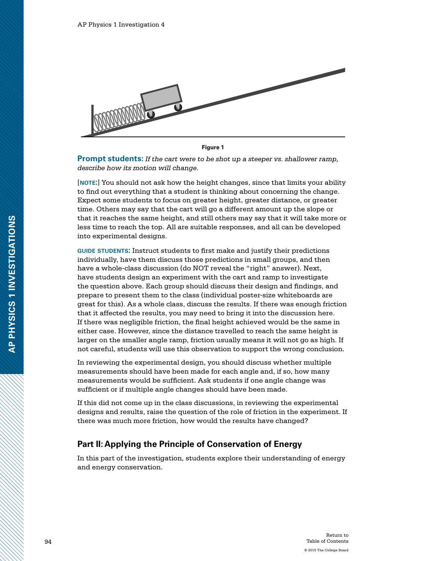

**Figure 1** 

**Prompt students:** *If the cart were to be shot up a steeper vs. shallower ramp, describe how its motion will change.*

[**note:**] You should not ask how the height changes, since that limits your ability to find out everything that a student is thinking about concerning the change. Expect some students to focus on greater height, greater distance, or greater time. Others may say that the cart will go a different amount up the slope or that it reaches the same height, and still others may say that it will take more or less time to reach the top. All are suitable responses, and all can be developed into experimental designs.

**guide students:** Instruct students to first make and justify their predictions individually, have them discuss those predictions in small groups, and then have a whole-class discussion (do NOT reveal the "right" answer). Next, have students design an experiment with the cart and ramp to investigate the question above. Each group should discuss their design and findings, and prepare to present them to the class (individual poster-size whiteboards are great for this). As a whole class, discuss the results. If there was enough friction that it affected the results, you may need to bring it into the discussion here. If there was negligible friction, the final height achieved would be the same in either case. However, since the distance travelled to reach the same height is larger on the smaller angle ramp, friction usually means it will not go as high. If not careful, students will use this observation to support the wrong conclusion.

In reviewing the experimental design, you should discuss whether multiple measurements should have been made for each angle and, if so, how many measurements would be sufficient. Ask students if one angle change was sufficient or if multiple angle changes should have been made.

If this did not come up in the class discussions, in reviewing the experimental designs and results, raise the question of the role of friction in the experiment. If there was much more friction, how would the results have changed?

### **Part II: Applying the Principle of Conservation of Energy**

In this part of the investigation, students explore their understanding of energy and energy conservation.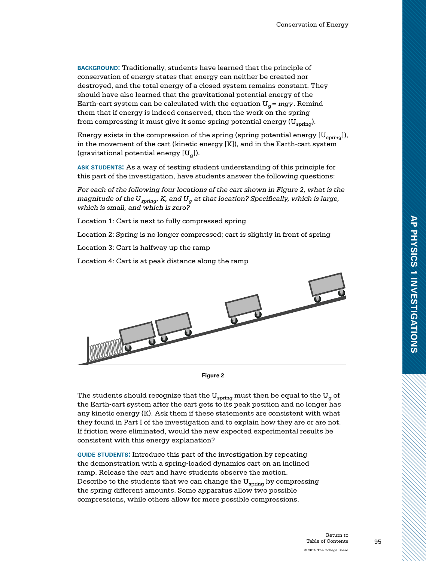**background:** Traditionally, students have learned that the principle of conservation of energy states that energy can neither be created nor destroyed, and the total energy of a closed system remains constant. They should have also learned that the gravitational potential energy of the Earth-cart system can be calculated with the equation  $U_{\alpha}$  = mgy. Remind them that if energy is indeed conserved, then the work on the spring from compressing it must give it some spring potential energy  $(U_{\text{spring}})$ .

Energy exists in the compression of the spring (spring potential energy  $[U_{\rm spring}]$ ), in the movement of the cart (kinetic energy [K]), and in the Earth-cart system (gravitational potential energy  $[U_{\alpha}]$ ).

**ask students:** As a way of testing student understanding of this principle for this part of the investigation, have students answer the following questions:

*For each of the following four locations of the cart shown in Figure 2, what is the magnitude of the*  $U_{\text{spring}}$ *, K, and*  $U_{\alpha}$  *at that location? Specifically, which is large, which is small, and which is zero?*

Location 1: Cart is next to fully compressed spring

Location 2: Spring is no longer compressed; cart is slightly in front of spring

Location 3: Cart is halfway up the ramp

Location 4: Cart is at peak distance along the ramp



**Figure 2**

The students should recognize that the  $\rm U_{spring}$  must then be equal to the  $\rm U_{g}$  of the Earth-cart system after the cart gets to its peak position and no longer has any kinetic energy (K). Ask them if these statements are consistent with what they found in Part I of the investigation and to explain how they are or are not. If friction were eliminated, would the new expected experimental results be consistent with this energy explanation?

**guide students:** Introduce this part of the investigation by repeating the demonstration with a spring-loaded dynamics cart on an inclined ramp. Release the cart and have students observe the motion. Describe to the students that we can change the  $U_{\text{spring}}$  by compressing the spring different amounts. Some apparatus allow two possible compressions, while others allow for more possible compressions.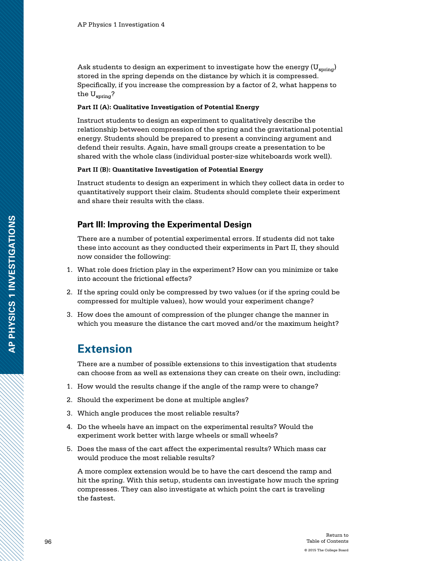Ask students to design an experiment to investigate how the energy ( $U_{\rm spring}$ ) stored in the spring depends on the distance by which it is compressed. Specifically, if you increase the compression by a factor of 2, what happens to the  $U_{\text{spring}}$ ?

#### **Part II (A): Qualitative Investigation of Potential Energy**

Instruct students to design an experiment to qualitatively describe the relationship between compression of the spring and the gravitational potential energy. Students should be prepared to present a convincing argument and defend their results. Again, have small groups create a presentation to be shared with the whole class (individual poster-size whiteboards work well).

#### **Part II (B): Quantitative Investigation of Potential Energy**

Instruct students to design an experiment in which they collect data in order to quantitatively support their claim. Students should complete their experiment and share their results with the class.

### **Part III: Improving the Experimental Design**

There are a number of potential experimental errors. If students did not take these into account as they conducted their experiments in Part II, they should now consider the following:

- 1. What role does friction play in the experiment? How can you minimize or take into account the frictional effects?
- 2. If the spring could only be compressed by two values (or if the spring could be compressed for multiple values), how would your experiment change?
- 3. How does the amount of compression of the plunger change the manner in which you measure the distance the cart moved and/or the maximum height?

### **Extension**

There are a number of possible extensions to this investigation that students can choose from as well as extensions they can create on their own, including:

- 1. How would the results change if the angle of the ramp were to change?
- 2. Should the experiment be done at multiple angles?
- 3. Which angle produces the most reliable results?
- 4. Do the wheels have an impact on the experimental results? Would the experiment work better with large wheels or small wheels?
- 5. Does the mass of the cart affect the experimental results? Which mass car would produce the most reliable results?

A more complex extension would be to have the cart descend the ramp and hit the spring. With this setup, students can investigate how much the spring compresses. They can also investigate at which point the cart is traveling the fastest.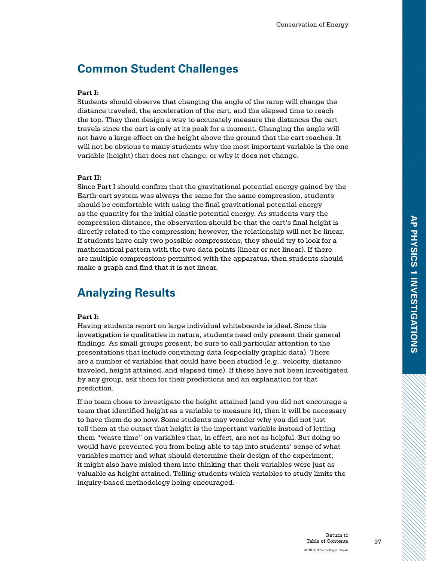### **Common Student Challenges**

#### **Part I:**

Students should observe that changing the angle of the ramp will change the distance traveled, the acceleration of the cart, and the elapsed time to reach the top. They then design a way to accurately measure the distances the cart travels since the cart is only at its peak for a moment. Changing the angle will not have a large effect on the height above the ground that the cart reaches. It will not be obvious to many students why the most important variable is the one variable (height) that does not change, or why it does not change.

#### **Part II:**

Since Part I should confirm that the gravitational potential energy gained by the Earth-cart system was always the same for the same compression, students should be comfortable with using the final gravitational potential energy as the quantity for the initial elastic potential energy. As students vary the compression distance, the observation should be that the cart's final height is directly related to the compression; however, the relationship will not be linear. If students have only two possible compressions, they should try to look for a mathematical pattern with the two data points (linear or not linear). If there are multiple compressions permitted with the apparatus, then students should make a graph and find that it is not linear.

### **Analyzing Results**

#### **Part I:**

Having students report on large individual whiteboards is ideal. Since this investigation is qualitative in nature, students need only present their general findings. As small groups present, be sure to call particular attention to the presentations that include convincing data (especially graphic data). There are a number of variables that could have been studied (e.g., velocity, distance traveled, height attained, and elapsed time). If these have not been investigated by any group, ask them for their predictions and an explanation for that prediction.

If no team chose to investigate the height attained (and you did not encourage a team that identified height as a variable to measure it), then it will be necessary to have them do so now. Some students may wonder why you did not just tell them at the outset that height is the important variable instead of letting them "waste time" on variables that, in effect, are not as helpful. But doing so would have prevented you from being able to tap into students' sense of what variables matter and what should determine their design of the experiment; it might also have misled them into thinking that their variables were just as valuable as height attained. Telling students which variables to study limits the inquiry-based methodology being encouraged.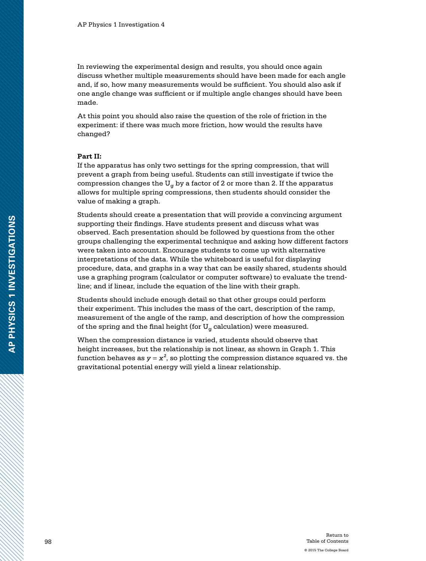In reviewing the experimental design and results, you should once again discuss whether multiple measurements should have been made for each angle and, if so, how many measurements would be sufficient. You should also ask if one angle change was sufficient or if multiple angle changes should have been made.

At this point you should also raise the question of the role of friction in the experiment: if there was much more friction, how would the results have changed?

#### **Part II:**

If the apparatus has only two settings for the spring compression, that will prevent a graph from being useful. Students can still investigate if twice the compression changes the  $U_{\alpha}$  by a factor of 2 or more than 2. If the apparatus allows for multiple spring compressions, then students should consider the value of making a graph.

Students should create a presentation that will provide a convincing argument supporting their findings. Have students present and discuss what was observed. Each presentation should be followed by questions from the other groups challenging the experimental technique and asking how different factors were taken into account. Encourage students to come up with alternative interpretations of the data. While the whiteboard is useful for displaying procedure, data, and graphs in a way that can be easily shared, students should use a graphing program (calculator or computer software) to evaluate the trendline; and if linear, include the equation of the line with their graph.

Students should include enough detail so that other groups could perform their experiment. This includes the mass of the cart, description of the ramp, measurement of the angle of the ramp, and description of how the compression of the spring and the final height (for  $U_{\alpha}$  calculation) were measured.

When the compression distance is varied, students should observe that height increases, but the relationship is not linear, as shown in Graph 1. This function behaves as  $y = x^2$ , so plotting the compression distance squared vs. the gravitational potential energy will yield a linear relationship.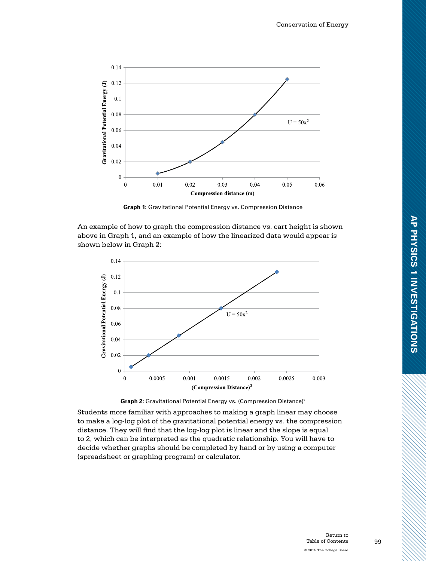

**Graph 1:** Gravitational Potential Energy vs. Compression Distance

An example of how to graph the compression distance vs. cart height is shown above in Graph 1, and an example of how the linearized data would appear is shown below in Graph 2:





Students more familiar with approaches to making a graph linear may choose to make a log-log plot of the gravitational potential energy vs. the compression distance. They will find that the log-log plot is linear and the slope is equal to 2, which can be interpreted as the quadratic relationship. You will have to decide whether graphs should be completed by hand or by using a computer (spreadsheet or graphing program) or calculator.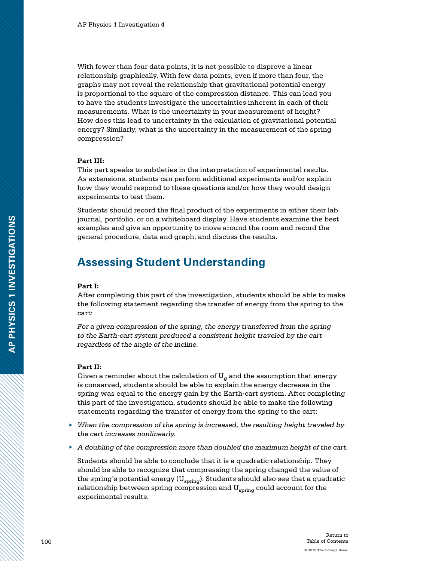With fewer than four data points, it is not possible to disprove a linear relationship graphically. With few data points, even if more than four, the graphs may not reveal the relationship that gravitational potential energy is proportional to the square of the compression distance. This can lead you to have the students investigate the uncertainties inherent in each of their measurements. What is the uncertainty in your measurement of height? How does this lead to uncertainty in the calculation of gravitational potential energy? Similarly, what is the uncertainty in the measurement of the spring compression?

#### **Part III:**

This part speaks to subtleties in the interpretation of experimental results. As extensions, students can perform additional experiments and/or explain how they would respond to these questions and/or how they would design experiments to test them.

Students should record the final product of the experiments in either their lab journal, portfolio, or on a whiteboard display. Have students examine the best examples and give an opportunity to move around the room and record the general procedure, data and graph, and discuss the results.

### **Assessing Student Understanding**

#### **Part I:**

After completing this part of the investigation, students should be able to make the following statement regarding the transfer of energy from the spring to the cart:

*For a given compression of the spring, the energy transferred from the spring to the Earth-cart system produced a consistent height traveled by the cart regardless of the angle of the incline.* 

#### **Part II:**

Given a reminder about the calculation of  $U_{\alpha}$  and the assumption that energy is conserved, students should be able to explain the energy decrease in the spring was equal to the energy gain by the Earth-cart system. After completing this part of the investigation, students should be able to make the following statements regarding the transfer of energy from the spring to the cart:

- ▶ *When the compression of the spring is increased, the resulting height traveled by the cart increases nonlinearly.*
- ▶ *A doubling of the compression more than doubled the maximum height of the cart.*

Students should be able to conclude that it is a quadratic relationship. They should be able to recognize that compressing the spring changed the value of the spring's potential energy  $(U_{\text{spring}})$ . Students should also see that a quadratic relationship between spring compression and  $U_{\text{spring}}$  could account for the experimental results.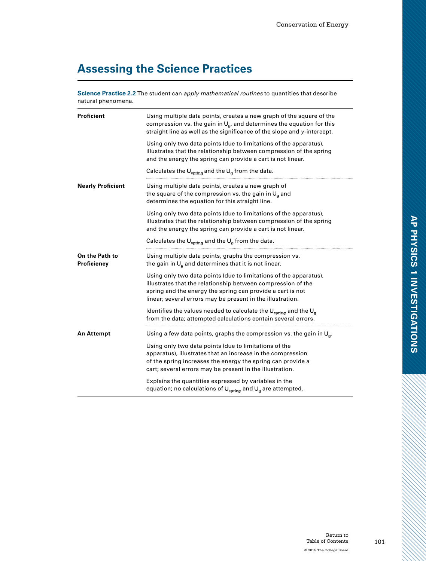# **Assessing the Science Practices**

**Science Practice 2.2** The student can *apply mathematical routines* to quantities that describe natural phenomena.

| Proficient                    | Using multiple data points, creates a new graph of the square of the<br>compression vs. the gain in $U_{\alpha}$ , and determines the equation for this<br>straight line as well as the significance of the slope and y-intercept.                                           |
|-------------------------------|------------------------------------------------------------------------------------------------------------------------------------------------------------------------------------------------------------------------------------------------------------------------------|
|                               | Using only two data points (due to limitations of the apparatus),<br>illustrates that the relationship between compression of the spring<br>and the energy the spring can provide a cart is not linear.<br>Calculates the $U_{\text{spring}}$ and the $U_{q}$ from the data. |
| <b>Nearly Proficient</b>      | Using multiple data points, creates a new graph of<br>the square of the compression vs. the gain in $U_q$ and<br>determines the equation for this straight line.                                                                                                             |
|                               | Using only two data points (due to limitations of the apparatus),<br>illustrates that the relationship between compression of the spring<br>and the energy the spring can provide a cart is not linear.                                                                      |
|                               | Calculates the $\bigcup_{\text{spring}}$ and the $\bigcup_{g}$ from the data.                                                                                                                                                                                                |
| On the Path to<br>Proficiency | Using multiple data points, graphs the compression vs.<br>the gain in $U_g$ and determines that it is not linear.                                                                                                                                                            |
|                               | Using only two data points (due to limitations of the apparatus),<br>illustrates that the relationship between compression of the<br>spring and the energy the spring can provide a cart is not<br>linear; several errors may be present in the illustration.                |
|                               | Identifies the values needed to calculate the $\bigcup_{\text{spring}}$ and the $\bigcup_{g}$<br>from the data: attempted calculations contain several errors.                                                                                                               |
| <b>An Attempt</b>             | Using a few data points, graphs the compression vs. the gain in $U_{\text{g}}$ .                                                                                                                                                                                             |
|                               | Using only two data points (due to limitations of the<br>apparatus), illustrates that an increase in the compression<br>of the spring increases the energy the spring can provide a<br>cart; several errors may be present in the illustration.                              |
|                               | Explains the quantities expressed by variables in the<br>equation; no calculations of $\bigcup_{\text{spring}}$ and $\bigcup_{g}$ are attempted.                                                                                                                             |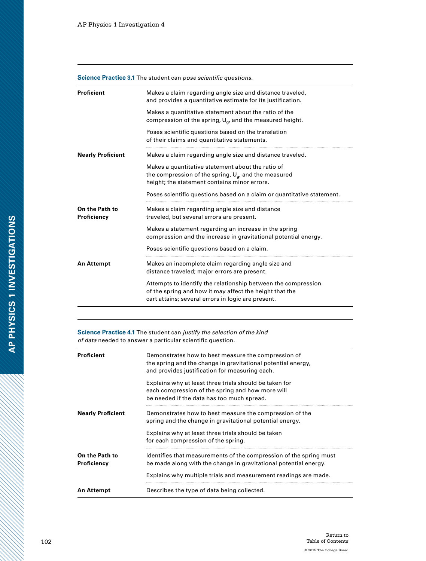#### **Science Practice 3.1** The student can *pose scientific questions.*

| <b>Proficient</b>             | Makes a claim regarding angle size and distance traveled,<br>and provides a quantitative estimate for its justification.                                                       |
|-------------------------------|--------------------------------------------------------------------------------------------------------------------------------------------------------------------------------|
|                               | Makes a quantitative statement about the ratio of the<br>compression of the spring, $U_{\alpha}$ , and the measured height.                                                    |
|                               | Poses scientific questions based on the translation<br>of their claims and quantitative statements.                                                                            |
| <b>Nearly Proficient</b>      | Makes a claim regarding angle size and distance traveled.                                                                                                                      |
|                               | Makes a quantitative statement about the ratio of<br>the compression of the spring, $U_{\alpha}$ , and the measured<br>height; the statement contains minor errors.            |
|                               | Poses scientific questions based on a claim or quantitative statement.                                                                                                         |
| On the Path to<br>Proficiency | Makes a claim regarding angle size and distance<br>traveled, but several errors are present.                                                                                   |
|                               | Makes a statement regarding an increase in the spring<br>compression and the increase in gravitational potential energy.                                                       |
|                               | Poses scientific questions based on a claim.                                                                                                                                   |
| <b>An Attempt</b>             | Makes an incomplete claim regarding angle size and<br>distance traveled; major errors are present.                                                                             |
|                               | Attempts to identify the relationship between the compression<br>of the spring and how it may affect the height that the<br>cart attains; several errors in logic are present. |

**Science Practice 4.1** The student can *justify the selection of the kind of data* needed to answer a particular scientific question.

| <b>Proficient</b>             | Demonstrates how to best measure the compression of<br>the spring and the change in gravitational potential energy,<br>and provides justification for measuring each. |
|-------------------------------|-----------------------------------------------------------------------------------------------------------------------------------------------------------------------|
|                               | Explains why at least three trials should be taken for<br>each compression of the spring and how more will<br>be needed if the data has too much spread.              |
| <b>Nearly Proficient</b>      | Demonstrates how to best measure the compression of the<br>spring and the change in gravitational potential energy.                                                   |
|                               | Explains why at least three trials should be taken<br>for each compression of the spring.                                                                             |
| On the Path to<br>Proficiency | Identifies that measurements of the compression of the spring must<br>be made along with the change in gravitational potential energy.                                |
|                               | Explains why multiple trials and measurement readings are made.                                                                                                       |
| An Attempt                    | Describes the type of data being collected.                                                                                                                           |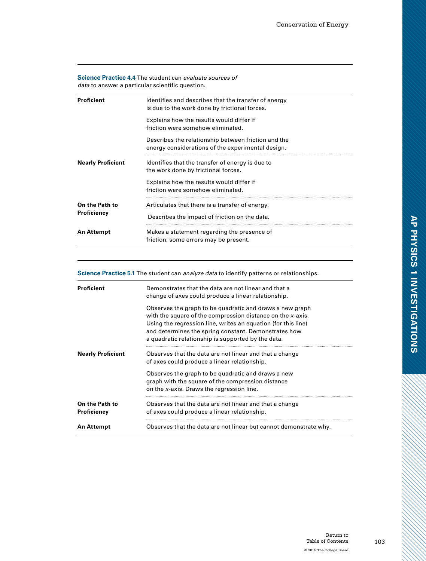#### **Science Practice 4.4** The student can *evaluate sources of data* to answer a particular scientific question.

| <b>Proficient</b>             | Identifies and describes that the transfer of energy<br>is due to the work done by frictional forces.    |
|-------------------------------|----------------------------------------------------------------------------------------------------------|
|                               | Explains how the results would differ if<br>friction were somehow eliminated.                            |
|                               | Describes the relationship between friction and the<br>energy considerations of the experimental design. |
| <b>Nearly Proficient</b>      | Identifies that the transfer of energy is due to<br>the work done by frictional forces.                  |
|                               | Explains how the results would differ if<br>friction were somehow eliminated.                            |
| On the Path to<br>Proficiency | Articulates that there is a transfer of energy.<br>Describes the impact of friction on the data.         |
| <b>An Attempt</b>             | Makes a statement regarding the presence of<br>friction; some errors may be present.                     |

#### **Science Practice 5.1** The student can *analyze data* to identify patterns or relationships.

| <b>Proficient</b>             | Demonstrates that the data are not linear and that a<br>change of axes could produce a linear relationship.                                                                                                                                                                                           |
|-------------------------------|-------------------------------------------------------------------------------------------------------------------------------------------------------------------------------------------------------------------------------------------------------------------------------------------------------|
|                               | Observes the graph to be quadratic and draws a new graph<br>with the square of the compression distance on the x-axis.<br>Using the regression line, writes an equation (for this line)<br>and determines the spring constant. Demonstrates how<br>a quadratic relationship is supported by the data. |
| <b>Nearly Proficient</b>      | Observes that the data are not linear and that a change<br>of axes could produce a linear relationship.                                                                                                                                                                                               |
|                               | Observes the graph to be quadratic and draws a new<br>graph with the square of the compression distance<br>on the x-axis. Draws the regression line.                                                                                                                                                  |
| On the Path to<br>Proficiency | Observes that the data are not linear and that a change<br>of axes could produce a linear relationship.                                                                                                                                                                                               |
| <b>An Attempt</b>             | Observes that the data are not linear but cannot demonstrate why.                                                                                                                                                                                                                                     |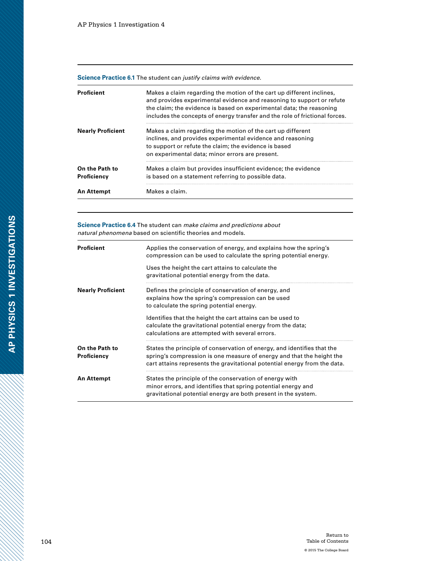**Science Practice 6.1** The student can *justify claims with evidence.*

| Proficient                    | Makes a claim regarding the motion of the cart up different inclines,<br>and provides experimental evidence and reasoning to support or refute<br>the claim; the evidence is based on experimental data; the reasoning<br>includes the concepts of energy transfer and the role of frictional forces. |
|-------------------------------|-------------------------------------------------------------------------------------------------------------------------------------------------------------------------------------------------------------------------------------------------------------------------------------------------------|
| <b>Nearly Proficient</b>      | Makes a claim regarding the motion of the cart up different<br>inclines, and provides experimental evidence and reasoning<br>to support or refute the claim; the evidence is based<br>on experimental data; minor errors are present.                                                                 |
| On the Path to<br>Proficiency | Makes a claim but provides insufficient evidence; the evidence<br>is based on a statement referring to possible data.                                                                                                                                                                                 |
| An Attempt                    | Makes a claim.                                                                                                                                                                                                                                                                                        |

**Science Practice 6.4** The student can *make claims and predictions about natural phenomena* based on scientific theories and models.

| <b>Proficient</b>             | Applies the conservation of energy, and explains how the spring's<br>compression can be used to calculate the spring potential energy.                                                                                        |
|-------------------------------|-------------------------------------------------------------------------------------------------------------------------------------------------------------------------------------------------------------------------------|
|                               | Uses the height the cart attains to calculate the<br>gravitational potential energy from the data.                                                                                                                            |
| <b>Nearly Proficient</b>      | Defines the principle of conservation of energy, and<br>explains how the spring's compression can be used<br>to calculate the spring potential energy.                                                                        |
|                               | Identifies that the height the cart attains can be used to<br>calculate the gravitational potential energy from the data;<br>calculations are attempted with several errors.                                                  |
| On the Path to<br>Proficiency | States the principle of conservation of energy, and identifies that the<br>spring's compression is one measure of energy and that the height the<br>cart attains represents the gravitational potential energy from the data. |
| <b>An Attempt</b>             | States the principle of the conservation of energy with<br>minor errors, and identifies that spring potential energy and<br>gravitational potential energy are both present in the system.                                    |

H

a dhe a cheall ann an 1970